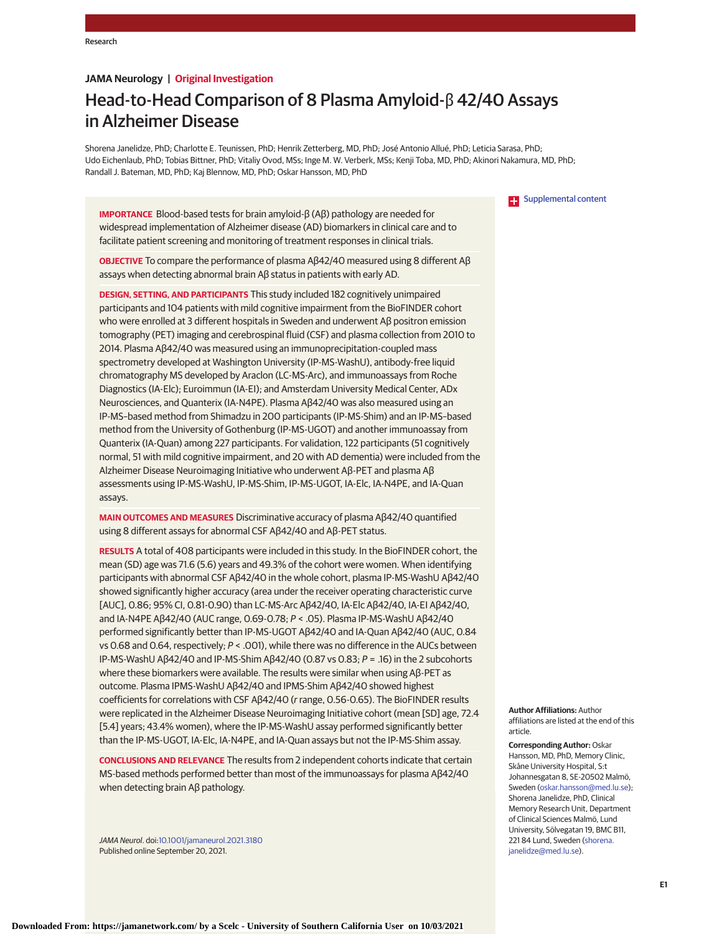# **JAMA Neurology | Original Investigation**

# Head-to-Head Comparison of 8 Plasma Amyloid-β 42/40 Assays in Alzheimer Disease

Shorena Janelidze, PhD; Charlotte E. Teunissen, PhD; Henrik Zetterberg, MD, PhD; José Antonio Allué, PhD; Leticia Sarasa, PhD; Udo Eichenlaub, PhD; Tobias Bittner, PhD; Vitaliy Ovod, MSs; Inge M. W. Verberk, MSs; Kenji Toba, MD, PhD; Akinori Nakamura, MD, PhD; Randall J. Bateman, MD, PhD; Kaj Blennow, MD, PhD; Oskar Hansson, MD, PhD

**IMPORTANCE** Blood-based tests for brain amyloid-β (Aβ) pathology are needed for widespread implementation of Alzheimer disease (AD) biomarkers in clinical care and to facilitate patient screening and monitoring of treatment responses in clinical trials.

**OBJECTIVE** To compare the performance of plasma Aβ42/40 measured using 8 different Aβ assays when detecting abnormal brain Aβ status in patients with early AD.

**DESIGN, SETTING, AND PARTICIPANTS** This study included 182 cognitively unimpaired participants and 104 patients with mild cognitive impairment from the BioFINDER cohort who were enrolled at 3 different hospitals in Sweden and underwent Aβ positron emission tomography (PET) imaging and cerebrospinal fluid (CSF) and plasma collection from 2010 to 2014. Plasma Aβ42/40 was measured using an immunoprecipitation-coupled mass spectrometry developed at Washington University (IP-MS-WashU), antibody-free liquid chromatography MS developed by Araclon (LC-MS-Arc), and immunoassays from Roche Diagnostics (IA-Elc); Euroimmun (IA-EI); and Amsterdam University Medical Center, ADx Neurosciences, and Quanterix (IA-N4PE). Plasma Aβ42/40 was also measured using an IP-MS–based method from Shimadzu in 200 participants (IP-MS-Shim) and an IP-MS–based method from the University of Gothenburg (IP-MS-UGOT) and another immunoassay from Quanterix (IA-Quan) among 227 participants. For validation, 122 participants (51 cognitively normal, 51 with mild cognitive impairment, and 20 with AD dementia) were included from the Alzheimer Disease Neuroimaging Initiative who underwent Aβ-PET and plasma Aβ assessments using IP-MS-WashU, IP-MS-Shim, IP-MS-UGOT, IA-Elc, IA-N4PE, and IA-Quan assays.

**MAIN OUTCOMES AND MEASURES** Discriminative accuracy of plasma Aβ42/40 quantified using 8 different assays for abnormal CSF Aβ42/40 and Aβ-PET status.

**RESULTS** A total of 408 participants were included in this study. In the BioFINDER cohort, the mean (SD) age was 71.6 (5.6) years and 49.3% of the cohort were women. When identifying participants with abnormal CSF Aβ42/40 in the whole cohort, plasma IP-MS-WashU Aβ42/40 showed significantly higher accuracy (area under the receiver operating characteristic curve [AUC], 0.86; 95% CI, 0.81-0.90) than LC-MS-Arc Aβ42/40, IA-Elc Aβ42/40, IA-EI Aβ42/40, and IA-N4PE Aβ42/40 (AUC range, 0.69-0.78; P < .05). Plasma IP-MS-WashU Aβ42/40 performed significantly better than IP-MS-UGOT Aβ42/40 and IA-Quan Aβ42/40 (AUC, 0.84 vs 0.68 and 0.64, respectively; P < .001), while there was no difference in the AUCs between IP-MS-WashU Aβ42/40 and IP-MS-Shim Aβ42/40 (0.87 vs 0.83; P = .16) in the 2 subcohorts where these biomarkers were available. The results were similar when using Aβ-PET as outcome. Plasma IPMS-WashU Aβ42/40 and IPMS-Shim Aβ42/40 showed highest coefficients for correlations with CSF Aβ42/40 (r range, 0.56-0.65). The BioFINDER results were replicated in the Alzheimer Disease Neuroimaging Initiative cohort (mean [SD] age, 72.4 [5.4] years; 43.4% women), where the IP-MS-WashU assay performed significantly better than the IP-MS-UGOT, IA-Elc, IA-N4PE, and IA-Quan assays but not the IP-MS-Shim assay.

**CONCLUSIONS AND RELEVANCE** The results from 2 independent cohorts indicate that certain MS-based methods performed better than most of the immunoassays for plasma Aβ42/40 when detecting brain Aβ pathology.

JAMA Neurol. doi[:10.1001/jamaneurol.2021.3180](https://jamanetwork.com/journals/jama/fullarticle/10.1001/jamaneurol.2021.3180?utm_campaign=articlePDF%26utm_medium=articlePDFlink%26utm_source=articlePDF%26utm_content=jamaneurol.2021.3180) Published online September 20, 2021.

#### **[Supplemental content](https://jamanetwork.com/journals/neu/fullarticle/10.1001/jamaneurol.2021.3180?utm_campaign=articlePDF%26utm_medium=articlePDFlink%26utm_source=articlePDF%26utm_content=jamaneurol.2021.3180)**

**Author Affiliations:** Author affiliations are listed at the end of this article.

**Corresponding Author:** Oskar Hansson, MD, PhD, Memory Clinic, Skåne University Hospital, S:t Johannesgatan 8, SE-20502 Malmö, Sweden [\(oskar.hansson@med.lu.se\)](mailto:oskar.hansson@med.lu.se); Shorena Janelidze, PhD, Clinical Memory Research Unit, Department of Clinical Sciences Malmö, Lund University, Sölvegatan 19, BMC B11, 221 84 Lund, Sweden [\(shorena.](mailto:shorena.janelidze@med.lu.se) [janelidze@med.lu.se\)](mailto:shorena.janelidze@med.lu.se).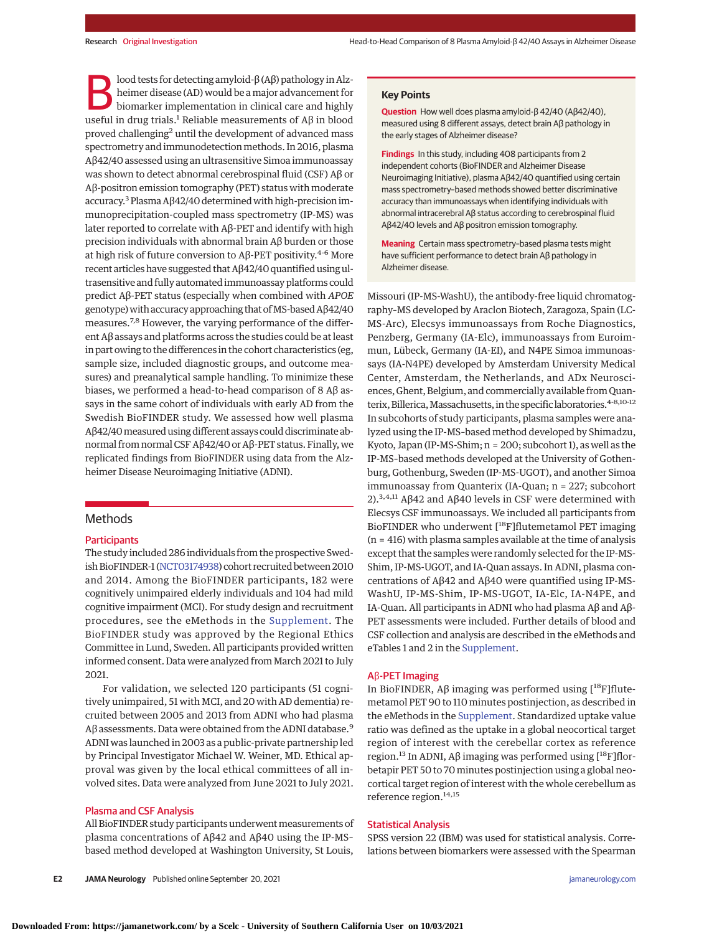lood tests for detecting amyloid-β (Aβ) pathology in Alzheimer disease (AD) would be amajor advancement for biomarker implementation in clinical care and highly useful in drug trials.<sup>1</sup> Reliable measurements of  $Aβ$  in blood proved challenging<sup>2</sup> until the development of advanced mass spectrometry and immunodetection methods. In 2016, plasma Aβ42/40 assessed using an ultrasensitive Simoa immunoassay was shown to detect abnormal cerebrospinal fluid (CSF) Aβ or Aβ-positron emission tomography (PET) status with moderate accuracy.<sup>3</sup> Plasma Aβ42/40 determined with high-precision immunoprecipitation-coupled mass spectrometry (IP-MS) was later reported to correlate with Aβ-PET and identify with high precision individuals with abnormal brain Aβ burden or those at high risk of future conversion to Aβ-PET positivity.<sup>4-6</sup> More recent articles have suggested that Aβ42/40 quantified using ultrasensitive and fully automated immunoassay platforms could predict Aβ-PET status (especially when combined with *APOE* genotype) with accuracy approaching that of MS-based Aβ42/40 measures.7,8 However, the varying performance of the different Aβ assays and platforms across the studies could be at least in part owing to the differences in the cohort characteristics (eg, sample size, included diagnostic groups, and outcome measures) and preanalytical sample handling. To minimize these biases, we performed a head-to-head comparison of 8 Aβ assays in the same cohort of individuals with early AD from the Swedish BioFINDER study. We assessed how well plasma Aβ42/40measured using different assays could discriminate abnormal from normal CSF Aβ42/40 or Aβ-PET status. Finally, we replicated findings from BioFINDER using data from the Alzheimer Disease Neuroimaging Initiative (ADNI).

# Methods

#### **Participants**

The study included 286 individuals from the prospective Swed-ish BioFINDER-1 [\(NCT03174938\)](https://clinicaltrials.gov/ct2/show/NCT03174938) cohort recruited between 2010 and 2014. Among the BioFINDER participants, 182 were cognitively unimpaired elderly individuals and 104 had mild cognitive impairment (MCI). For study design and recruitment procedures, see the eMethods in the [Supplement.](https://jamanetwork.com/journals/jama/fullarticle/10.1001/jamaneurol.2021.3180?utm_campaign=articlePDF%26utm_medium=articlePDFlink%26utm_source=articlePDF%26utm_content=jamaneurol.2021.3180) The BioFINDER study was approved by the Regional Ethics Committee in Lund, Sweden. All participants provided written informed consent. Data were analyzed from March 2021 to July 2021.

For validation, we selected 120 participants (51 cognitively unimpaired, 51 with MCI, and 20 with AD dementia) recruited between 2005 and 2013 from ADNI who had plasma Aβ assessments. Data were obtained from the ADNI database.<sup>9</sup> ADNI was launched in 2003 as a public-private partnership led by Principal Investigator Michael W. Weiner, MD. Ethical approval was given by the local ethical committees of all involved sites. Data were analyzed from June 2021 to July 2021.

#### Plasma and CSF Analysis

All BioFINDER study participants underwent measurements of plasma concentrations of Aβ42 and Aβ40 using the IP-MS– based method developed at Washington University, St Louis,

**E2 JAMA Neurology** Published online September 20, 2021 **(Reprinted)** [jamaneurology.com](http://www.jamaneurology.com?utm_campaign=articlePDF%26utm_medium=articlePDFlink%26utm_source=articlePDF%26utm_content=jamaneurol.2021.3180)

#### **Key Points**

**Question** How well does plasma amyloid-β 42/40 (Aβ42/40), measured using 8 different assays, detect brain Aβ pathology in the early stages of Alzheimer disease?

**Findings** In this study, including 408 participants from 2 independent cohorts (BioFINDER and Alzheimer Disease Neuroimaging Initiative), plasma Aβ42/40 quantified using certain mass spectrometry–based methods showed better discriminative accuracy than immunoassays when identifying individuals with abnormal intracerebral Aβ status according to cerebrospinal fluid Aβ42/40 levels and Aβ positron emission tomography.

**Meaning** Certain mass spectrometry–based plasma tests might have sufficient performance to detect brain Aβ pathology in Alzheimer disease.

Missouri (IP-MS-WashU), the antibody-free liquid chromatography–MS developed by Araclon Biotech, Zaragoza, Spain (LC-MS-Arc), Elecsys immunoassays from Roche Diagnostics, Penzberg, Germany (IA-Elc), immunoassays from Euroimmun, Lübeck, Germany (IA-EI), and N4PE Simoa immunoassays (IA-N4PE) developed by Amsterdam University Medical Center, Amsterdam, the Netherlands, and ADx Neurosciences, Ghent, Belgium, and commercially available from Quanterix, Billerica, Massachusetts, in the specific laboratories.<sup>4-8,10-12</sup> In subcohorts of study participants, plasma samples were analyzed using the IP-MS–based method developed by Shimadzu, Kyoto, Japan (IP-MS-Shim; n = 200; subcohort 1), as well as the IP-MS–based methods developed at the University of Gothenburg, Gothenburg, Sweden (IP-MS-UGOT), and another Simoa immunoassay from Quanterix (IA-Quan; n = 227; subcohort 2).<sup>3,4,11</sup> Aβ42 and Aβ40 levels in CSF were determined with Elecsys CSF immunoassays. We included all participants from BioFINDER who underwent [18F]flutemetamol PET imaging (n = 416) with plasma samples available at the time of analysis except that the samples were randomly selected for the IP-MS-Shim, IP-MS-UGOT, and IA-Quan assays. In ADNI, plasma concentrations of Aβ42 and Aβ40 were quantified using IP-MS-WashU, IP-MS-Shim, IP-MS-UGOT, IA-Elc, IA-N4PE, and IA-Quan. All participants in ADNI who had plasma Aβ and Aβ-PET assessments were included. Further details of blood and CSF collection and analysis are described in the eMethods and eTables 1 and 2 in the [Supplement.](https://jamanetwork.com/journals/jama/fullarticle/10.1001/jamaneurol.2021.3180?utm_campaign=articlePDF%26utm_medium=articlePDFlink%26utm_source=articlePDF%26utm_content=jamaneurol.2021.3180)

#### Aβ-PET Imaging

In BioFINDER, Aβ imaging was performed using  $[$ <sup>18</sup>F]flutemetamol PET 90 to 110 minutes postinjection, as described in the eMethods in the [Supplement.](https://jamanetwork.com/journals/jama/fullarticle/10.1001/jamaneurol.2021.3180?utm_campaign=articlePDF%26utm_medium=articlePDFlink%26utm_source=articlePDF%26utm_content=jamaneurol.2021.3180) Standardized uptake value ratio was defined as the uptake in a global neocortical target region of interest with the cerebellar cortex as reference region.<sup>13</sup> In ADNI, Aβ imaging was performed using  $[$ <sup>18</sup>F]florbetapir PET 50 to 70 minutes postinjection using a global neocortical target region of interest with the whole cerebellum as reference region.<sup>14,15</sup>

#### Statistical Analysis

SPSS version 22 (IBM) was used for statistical analysis. Correlations between biomarkers were assessed with the Spearman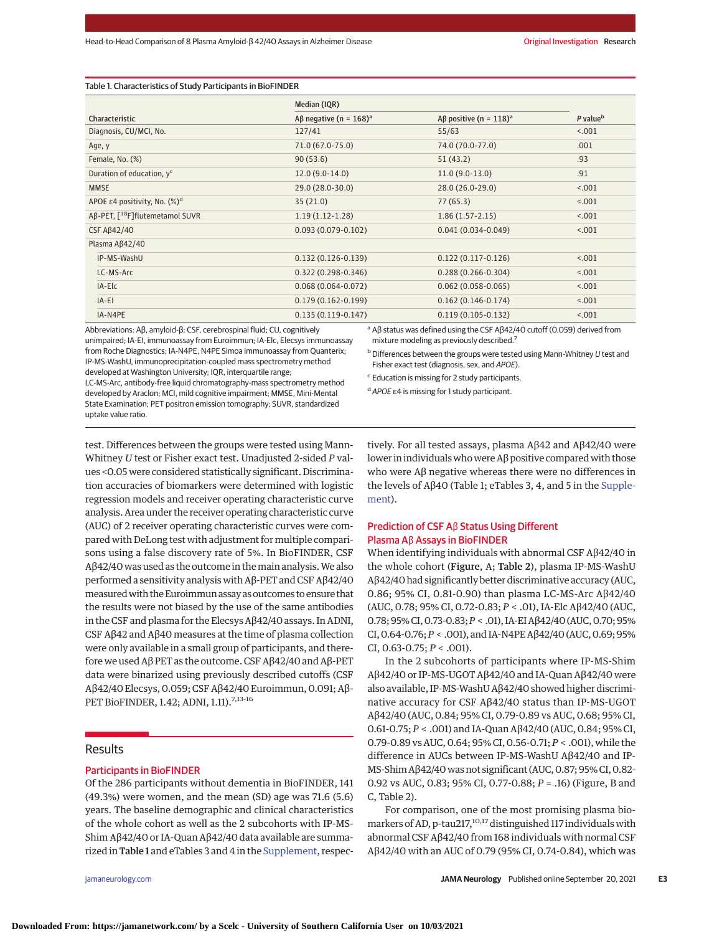#### Table 1. Characteristics of Study Participants in BioFINDER

|                                             | Median (IQR)                                      |                                       |                      |
|---------------------------------------------|---------------------------------------------------|---------------------------------------|----------------------|
| Characteristic                              | A <sub>B</sub> negative (n = $168$ ) <sup>a</sup> | Aß positive (n = $118$ ) <sup>a</sup> | P value <sup>b</sup> |
| Diagnosis, CU/MCI, No.                      | 127/41                                            | 55/63                                 | < .001               |
| Age, y                                      | 71.0 (67.0-75.0)                                  | 74.0 (70.0-77.0)                      | .001                 |
| Female, No. (%)                             | 90(53.6)                                          | 51(43.2)                              | .93                  |
| Duration of education, y <sup>c</sup>       | $12.0(9.0-14.0)$                                  | $11.0(9.0-13.0)$                      | .91                  |
| <b>MMSE</b>                                 | 29.0 (28.0-30.0)                                  | $28.0(26.0-29.0)$                     | < .001               |
| APOE $\epsilon$ 4 positivity, No. $(\%)^d$  | 35(21.0)                                          | 77(65.3)                              | < .001               |
| Aß-PET, [ <sup>18</sup> F]flutemetamol SUVR | $1.19(1.12-1.28)$                                 | $1.86(1.57-2.15)$                     | < .001               |
| <b>CSF Aß42/40</b>                          | $0.093(0.079 - 0.102)$                            | $0.041(0.034 - 0.049)$                | < .001               |
| Plasma Aß42/40                              |                                                   |                                       |                      |
| IP-MS-WashU                                 | $0.132(0.126 - 0.139)$                            | $0.122(0.117-0.126)$                  | < .001               |
| LC-MS-Arc                                   | $0.322(0.298 - 0.346)$                            | $0.288(0.266 - 0.304)$                | < .001               |
| IA-Elc                                      | $0.068(0.064 - 0.072)$                            | $0.062(0.058 - 0.065)$                | < .001               |
| IA-EI                                       | $0.179(0.162 - 0.199)$                            | $0.162(0.146-0.174)$                  | < .001               |
| IA-N4PE                                     | $0.135(0.119-0.147)$                              | $0.119(0.105 - 0.132)$                | < .001               |

Abbreviations: Aβ, amyloid-β; CSF, cerebrospinal fluid; CU, cognitively unimpaired; IA-EI, immunoassay from Euroimmun; IA-Elc, Elecsys immunoassay from Roche Diagnostics; IA-N4PE, N4PE Simoa immunoassay from Quanterix; IP-MS-WashU, immunoprecipitation-coupled mass spectrometry method developed at Washington University; IQR, interquartile range; LC-MS-Arc, antibody-free liquid chromatography-mass spectrometry method developed by Araclon; MCI, mild cognitive impairment; MMSE, Mini-Mental State Examination; PET positron emission tomography; SUVR, standardized uptake value ratio.

<sup>a</sup> Aβ status was defined using the CSF Aβ42/40 cutoff (0.059) derived from mixture modeling as previously described.<sup>7</sup>

 $b$  Differences between the groups were tested using Mann-Whitney  $U$  test and Fisher exact test (diagnosis, sex, and APOE).

 $c$  Education is missing for 2 study participants.

<sup>d</sup> APOE ε4 is missing for 1 study participant.

test. Differences between the groups were tested using Mann-Whitney *U* test or Fisher exact test. Unadjusted 2-sided *P* values <0.05 were considered statistically significant. Discrimination accuracies of biomarkers were determined with logistic regression models and receiver operating characteristic curve analysis. Area under the receiver operating characteristic curve (AUC) of 2 receiver operating characteristic curves were compared with DeLong test with adjustment for multiple comparisons using a false discovery rate of 5%. In BioFINDER, CSF Aβ42/40 was used as the outcome in themain analysis.We also performed a sensitivity analysis with Aβ-PET and CSF Aβ42/40 measured with the Euroimmun assay as outcomes to ensure that the results were not biased by the use of the same antibodies in the CSF and plasma for the Elecsys Aβ42/40 assays. In ADNI, CSF Aβ42 and Aβ40 measures at the time of plasma collection were only available in a small group of participants, and therefore we used Aβ PET as the outcome. CSF Aβ42/40 and Aβ-PET data were binarized using previously described cutoffs (CSF Aβ42/40 Elecsys, 0.059; CSF Aβ42/40 Euroimmun, 0.091; Aβ-PET BioFINDER, 1.42; ADNI, 1.11).<sup>7,13-16</sup>

#### **Results**

#### Participants in BioFINDER

Of the 286 participants without dementia in BioFINDER, 141 (49.3%) were women, and the mean (SD) age was 71.6 (5.6) years. The baseline demographic and clinical characteristics of the whole cohort as well as the 2 subcohorts with IP-MS-Shim Aβ42/40 or IA-Quan Aβ42/40 data available are summarized in Table 1 and eTables 3 and 4 in the [Supplement,](https://jamanetwork.com/journals/jama/fullarticle/10.1001/jamaneurol.2021.3180?utm_campaign=articlePDF%26utm_medium=articlePDFlink%26utm_source=articlePDF%26utm_content=jamaneurol.2021.3180) respec-

tively. For all tested assays, plasma Aβ42 and Aβ42/40 were lower in individuals who were Aβ positive compared with those who were Aβ negative whereas there were no differences in the levels of Aβ40 (Table 1; eTables 3, 4, and 5 in the [Supple](https://jamanetwork.com/journals/jama/fullarticle/10.1001/jamaneurol.2021.3180?utm_campaign=articlePDF%26utm_medium=articlePDFlink%26utm_source=articlePDF%26utm_content=jamaneurol.2021.3180)[ment\)](https://jamanetwork.com/journals/jama/fullarticle/10.1001/jamaneurol.2021.3180?utm_campaign=articlePDF%26utm_medium=articlePDFlink%26utm_source=articlePDF%26utm_content=jamaneurol.2021.3180).

#### Prediction of CSF Aβ Status Using Different Plasma Aβ Assays in BioFINDER

When identifying individuals with abnormal CSF Aβ42/40 in the whole cohort (Figure, A; Table 2), plasma IP-MS-WashU Aβ42/40 had significantly better discriminative accuracy (AUC, 0.86; 95% CI, 0.81-0.90) than plasma LC-MS-Arc Aβ42/40 (AUC, 0.78; 95% CI, 0.72-0.83; *P* < .01), IA-Elc Aβ42/40 (AUC, 0.78; 95% CI,0.73-0.83;*P* < .01), IA-EI Aβ42/40 (AUC,0.70; 95% CI, 0.64-0.76;*P* < .001), and IA-N4PE Aβ42/40 (AUC, 0.69; 95% CI,  $0.63 - 0.75$ ;  $P < .001$ ).

In the 2 subcohorts of participants where IP-MS-Shim Aβ42/40 or IP-MS-UGOT Aβ42/40 and IA-Quan Aβ42/40 were also available, IP-MS-WashU Aβ42/40 showed higher discriminative accuracy for CSF Aβ42/40 status than IP-MS-UGOT Aβ42/40 (AUC, 0.84; 95% CI, 0.79-0.89 vs AUC, 0.68; 95% CI, 0.61-0.75; *P* < .001) and IA-Quan Aβ42/40 (AUC, 0.84; 95% CI, 0.79-0.89 vs AUC, 0.64; 95% CI, 0.56-0.71; *P* < .001), while the difference in AUCs between IP-MS-WashU Aβ42/40 and IP-MS-Shim Aβ42/40 was not significant (AUC, 0.87; 95% CI, 0.82- 0.92 vs AUC, 0.83; 95% CI, 0.77-0.88; *P* = .16) (Figure, B and C, Table 2).

For comparison, one of the most promising plasma biomarkers of AD, p-tau217,<sup>10,17</sup> distinguished 117 individuals with abnormal CSF Aβ42/40 from 168 individuals with normal CSF Aβ42/40 with an AUC of 0.79 (95% CI, 0.74-0.84), which was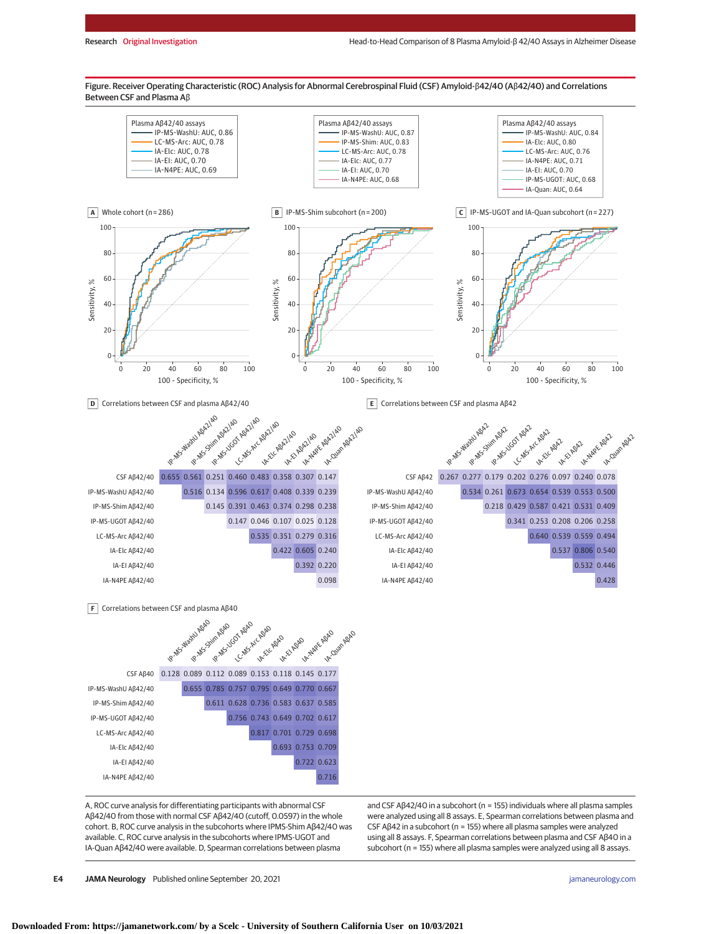Figure. Receiver Operating Characteristic (ROC) Analysis for Abnormal Cerebrospinal Fluid (CSF) Amyloid-β42/40 (Aβ42/40) and Correlations Between CSF and Plasma Aβ



A, ROC curve analysis for differentiating participants with abnormal CSF Aβ42/40 from those with normal CSF Aβ42/40 (cutoff, 0.0597) in the whole cohort. B, ROC curve analysis in the subcohorts where IPMS-Shim Aβ42/40 was available. C, ROC curve analysis in the subcohorts where IPMS-UGOT and IA-Quan Aβ42/40 were available. D, Spearman correlations between plasma

IA-N4PE Aβ42/40 0.716

and CSF Aβ42/40 in a subcohort (n = 155) individuals where all plasma samples were analyzed using all 8 assays. E, Spearman correlations between plasma and CSF Aβ42 in a subcohort (n = 155) where all plasma samples were analyzed using all 8 assays. F, Spearman correlations between plasma and CSF Aβ40 in a subcohort (n = 155) where all plasma samples were analyzed using all 8 assays.

**E4 JAMA Neurology** Published online September 20, 2021 **(Reprinted)** [jamaneurology.com](http://www.jamaneurology.com?utm_campaign=articlePDF%26utm_medium=articlePDFlink%26utm_source=articlePDF%26utm_content=jamaneurol.2021.3180)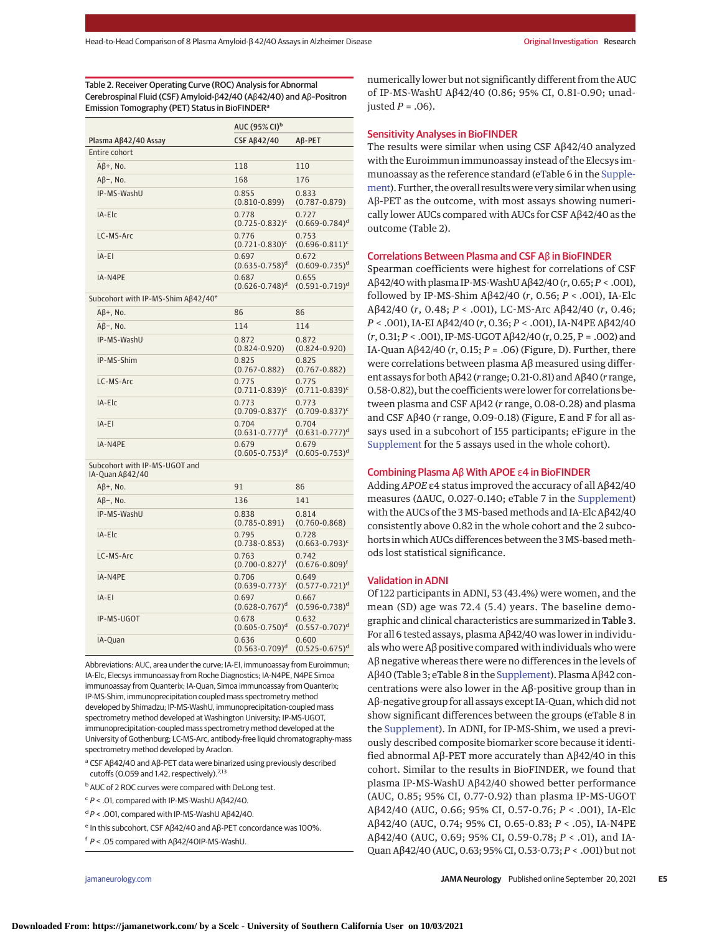Table 2. Receiver Operating Curve (ROC) Analysis for Abnormal Cerebrospinal Fluid (CSF) Amyloid-β42/40 (Aβ42/40) and Aβ–Positron Emission Tomography (PET) Status in BioFINDER<sup>a</sup>

|                      | AUC (95% CI) <sup>b</sup>               |                                         |
|----------------------|-----------------------------------------|-----------------------------------------|
| Plasma AB42/40 Assay | <b>CSF Aß42/40</b>                      | $AB-PET$                                |
| Entire cohort        |                                         |                                         |
| $AB+$ , No.          | 118                                     | 110                                     |
| $AB$ –, No.          | 168                                     | 176                                     |
| IP-MS-WashU          | 0.855<br>$(0.810 - 0.899)$              | 0.833<br>$(0.787 - 0.879)$              |
| IA-Elc               | 0.778<br>$(0.725 - 0.832)^c$            | 0.727<br>$(0.669 - 0.784)$ <sup>d</sup> |
| LC-MS-Arc            | 0.776<br>$(0.721 - 0.830)^c$            | 0.753<br>$(0.696 - 0.811)^c$            |
| IA-EI                | 0.697<br>$(0.635 - 0.758)$ <sup>d</sup> | 0.672<br>$(0.609 - 0.735)^d$            |
| IA-N4PE              | 0.687<br>$(0.626 - 0.748)$ <sup>d</sup> | 0.655<br>$(0.591 - 0.719)^d$            |

Subcohort with IP-MS-Shim Aβ42/40<sup>e</sup>

| $AB+$ . No. | 86                                      | 86                                      |
|-------------|-----------------------------------------|-----------------------------------------|
| $AB$ –, No. | 114                                     | 114                                     |
| IP-MS-WashU | 0.872<br>$(0.824 - 0.920)$              | 0.872<br>$(0.824 - 0.920)$              |
| IP-MS-Shim  | 0.825<br>$(0.767 - 0.882)$              | 0.825<br>$(0.767 - 0.882)$              |
| LC-MS-Arc   | 0.775<br>$(0.711 - 0.839)^c$            | 0.775<br>$(0.711 - 0.839)^c$            |
| IA-Elc      | 0.773<br>$(0.709 - 0.837)^c$            | 0.773<br>$(0.709 - 0.837)^c$            |
| IA-EI       | 0.704<br>$(0.631 - 0.777)^d$            | 0.704<br>$(0.631 - 0.777)^d$            |
| IA-N4PE     | 0.679<br>$(0.605 - 0.753)$ <sup>d</sup> | 0.679<br>$(0.605 - 0.753)$ <sup>d</sup> |

Subcohort with IP-MS-UGOT and IA-Quan Aβ42/40

| $AB+$ , No. | 91                                      | 86                                      |
|-------------|-----------------------------------------|-----------------------------------------|
| $AB-$ , No. | 136                                     | 141                                     |
| IP-MS-WashU | 0.838<br>$(0.785 - 0.891)$              | 0.814<br>$(0.760 - 0.868)$              |
| IA-Elc      | 0.795<br>$(0.738 - 0.853)$              | 0.728<br>$(0.663 - 0.793)^c$            |
| LC-MS-Arc   | 0.763<br>$(0.700 - 0.827)^t$            | 0.742<br>$(0.676 - 0.809)^t$            |
| IA-N4PE     | 0.706<br>$(0.639 - 0.773)^c$            | 0.649<br>$(0.577 - 0.721)^d$            |
| IA-EI       | 0.697<br>$(0.628 - 0.767)^d$            | 0.667<br>$(0.596 - 0.738)^d$            |
| IP-MS-UGOT  | 0.678<br>$(0.605 - 0.750)$ <sup>d</sup> | 0.632<br>$(0.557 - 0.707)$ <sup>d</sup> |
| IA-Quan     | 0.636<br>$(0.563 - 0.709)^d$            | 0.600<br>$(0.525 - 0.675)^d$            |

Abbreviations: AUC, area under the curve; IA-EI, immunoassay from Euroimmun; IA-Elc, Elecsys immunoassay from Roche Diagnostics; IA-N4PE, N4PE Simoa immunoassay from Quanterix; IA-Quan, Simoa immunoassay from Quanterix; IP-MS-Shim, immunoprecipitation coupled mass spectrometry method developed by Shimadzu; IP-MS-WashU, immunoprecipitation-coupled mass spectrometry method developed at Washington University; IP-MS-UGOT, immunoprecipitation-coupled mass spectrometry method developed at the University of Gothenburg; LC-MS-Arc, antibody-free liquid chromatography-mass spectrometry method developed by Araclon.

- <sup>a</sup> CSF Aβ42/40 and Aβ-PET data were binarized using previously described cutoffs (0.059 and 1.42, respectively).<sup>7,13</sup>
- **b** AUC of 2 ROC curves were compared with DeLong test.
- $c$  P < .01, compared with IP-MS-WashU AB42/40.
- <sup>d</sup> P < .001, compared with IP-MS-WashU Aβ42/40.
- <sup>e</sup> In this subcohort, CSF Aβ42/40 and Aβ-PET concordance was 100%.
- <sup>f</sup> P < .05 compared with Aβ42/40IP-MS-WashU.

numerically lower but not significantly different from the AUC of IP-MS-WashU Aβ42/40 (0.86; 95% CI, 0.81-0.90; unadiusted  $P = .06$ ).

#### Sensitivity Analyses in BioFINDER

The results were similar when using CSF Aβ42/40 analyzed with the Euroimmun immunoassay instead of the Elecsys immunoassay as the reference standard (eTable 6 in the [Supple](https://jamanetwork.com/journals/jama/fullarticle/10.1001/jamaneurol.2021.3180?utm_campaign=articlePDF%26utm_medium=articlePDFlink%26utm_source=articlePDF%26utm_content=jamaneurol.2021.3180)[ment\)](https://jamanetwork.com/journals/jama/fullarticle/10.1001/jamaneurol.2021.3180?utm_campaign=articlePDF%26utm_medium=articlePDFlink%26utm_source=articlePDF%26utm_content=jamaneurol.2021.3180). Further, the overall results were very similar when using Aβ-PET as the outcome, with most assays showing numerically lower AUCs compared with AUCs for CSF Aβ42/40 as the outcome (Table 2).

#### Correlations Between Plasma and CSF Aβ in BioFINDER

Spearman coefficients were highest for correlations of CSF Aβ42/40 with plasma IP-MS-WashU Aβ42/40 (*r*, 0.65;*P* < .001), followed by IP-MS-Shim Aβ42/40 (*r*, 0.56; *P* < .001), IA-Elc Aβ42/40 (*r*, 0.48; *P* < .001), LC-MS-Arc Aβ42/40 (*r*, 0.46; *P* < .001), IA-EI Aβ42/40 (*r*, 0.36; *P* < .001), IA-N4PE Aβ42/40 (*r*, 0.31; *P* < .001), IP-MS-UGOT Aβ42/40 (r, 0.25, P = .002) and IA-Quan Aβ42/40 (*r*, 0.15; *P* = .06) (Figure, D). Further, there were correlations between plasma Aβ measured using different assays for both Aβ42 (*r* range; 0.21-0.81) and Aβ40 (*r* range, 0.58-0.82), but the coefficients were lower for correlations between plasma and CSF Aβ42 (*r* range, 0.08-0.28) and plasma and CSF Aβ40 (*r* range, 0.09-0.18) (Figure, E and F for all assays used in a subcohort of 155 participants; eFigure in the [Supplement](https://jamanetwork.com/journals/jama/fullarticle/10.1001/jamaneurol.2021.3180?utm_campaign=articlePDF%26utm_medium=articlePDFlink%26utm_source=articlePDF%26utm_content=jamaneurol.2021.3180) for the 5 assays used in the whole cohort).

# Combining Plasma Aβ With APOE ε4 in BioFINDER

Adding *APOE* ε4 status improved the accuracy of all Aβ42/40 measures (ΔAUC, 0.027-0.140; eTable 7 in the [Supplement\)](https://jamanetwork.com/journals/jama/fullarticle/10.1001/jamaneurol.2021.3180?utm_campaign=articlePDF%26utm_medium=articlePDFlink%26utm_source=articlePDF%26utm_content=jamaneurol.2021.3180) with the AUCs of the 3 MS-based methods and IA-Elc Aβ42/40 consistently above 0.82 in the whole cohort and the 2 subcohorts in which AUCs differences between the 3 MS-based methods lost statistical significance.

#### Validation in ADNI

Of 122 participants in ADNI, 53 (43.4%) were women, and the mean (SD) age was 72.4 (5.4) years. The baseline demographic and clinical characteristics are summarized in Table 3. For all 6 tested assays, plasma Aβ42/40 was lower in individuals who were Aβ positive compared with individuals who were Aβ negative whereas there were no differences in the levels of Aβ40 (Table 3; eTable 8 in the [Supplement\)](https://jamanetwork.com/journals/jama/fullarticle/10.1001/jamaneurol.2021.3180?utm_campaign=articlePDF%26utm_medium=articlePDFlink%26utm_source=articlePDF%26utm_content=jamaneurol.2021.3180). Plasma Aβ42 concentrations were also lower in the Aβ-positive group than in Aβ-negative group for all assays except IA-Quan, which did not show significant differences between the groups (eTable 8 in the [Supplement\)](https://jamanetwork.com/journals/jama/fullarticle/10.1001/jamaneurol.2021.3180?utm_campaign=articlePDF%26utm_medium=articlePDFlink%26utm_source=articlePDF%26utm_content=jamaneurol.2021.3180). In ADNI, for IP-MS-Shim, we used a previously described composite biomarker score because it identified abnormal Aβ-PET more accurately than Aβ42/40 in this cohort. Similar to the results in BioFINDER, we found that plasma IP-MS-WashU Aβ42/40 showed better performance (AUC, 0.85; 95% CI, 0.77-0.92) than plasma IP-MS-UGOT Aβ42/40 (AUC, 0.66; 95% CI, 0.57-0.76; *P* < .001), IA-Elc Aβ42/40 (AUC, 0.74; 95% CI, 0.65-0.83; *P* < .05), IA-N4PE Aβ42/40 (AUC, 0.69; 95% CI, 0.59-0.78; *P* < .01), and IA-Quan Aβ42/40 (AUC, 0.63; 95% CI, 0.53-0.73; *P* < .001) but not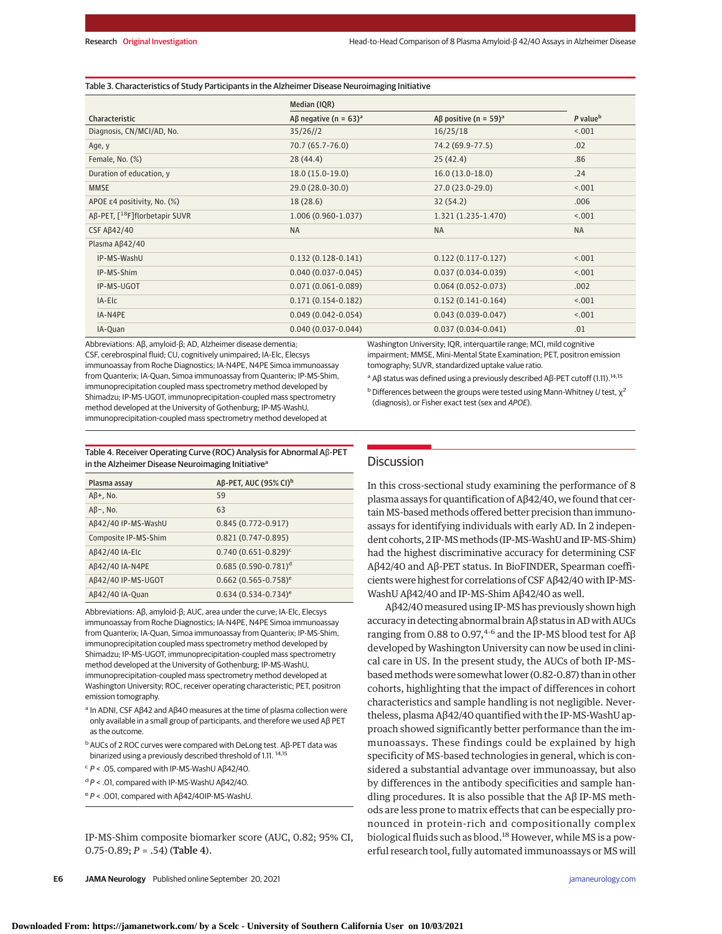#### Table 3. Characteristics of Study Participants in the Alzheimer Disease Neuroimaging Initiative

|                                              | Median (IQR)                                     |                                        |                      |
|----------------------------------------------|--------------------------------------------------|----------------------------------------|----------------------|
| Characteristic                               | A <sub>B</sub> negative (n = $63$ ) <sup>a</sup> | $\beta$ positive (n = 59) <sup>a</sup> | P value <sup>b</sup> |
| Diagnosis, CN/MCI/AD, No.                    | 35/26/2                                          | 16/25/18                               | < .001               |
| Age, y                                       | 70.7 (65.7-76.0)                                 | 74.2 (69.9-77.5)                       | .02                  |
| Female, No. (%)                              | 28(44.4)                                         | 25(42.4)                               | .86                  |
| Duration of education, y                     | $18.0(15.0-19.0)$                                | $16.0(13.0-18.0)$                      | .24                  |
| <b>MMSE</b>                                  | 29.0 (28.0-30.0)                                 | $27.0(23.0-29.0)$                      | < .001               |
| APOE ε4 positivity, No. (%)                  | 18(28.6)                                         | 32(54.2)                               | .006                 |
| $AB-PET, [$ <sup>18</sup> F]florbetapir SUVR | $1.006(0.960-1.037)$                             | 1.321 (1.235-1.470)                    | < .001               |
| <b>CSF Aß42/40</b>                           | <b>NA</b>                                        | <b>NA</b>                              | <b>NA</b>            |
| Plasma Aß42/40                               |                                                  |                                        |                      |
| IP-MS-WashU                                  | $0.132(0.128-0.141)$                             | $0.122(0.117 - 0.127)$                 | < 0.01               |
| IP-MS-Shim                                   | $0.040(0.037 - 0.045)$                           | $0.037(0.034 - 0.039)$                 | < .001               |
| IP-MS-UGOT                                   | $0.071(0.061 - 0.089)$                           | $0.064(0.052 - 0.073)$                 | .002                 |
| IA-Elc                                       | $0.171(0.154-0.182)$                             | $0.152(0.141-0.164)$                   | < .001               |
| IA-N4PE                                      | $0.049(0.042 - 0.054)$                           | $0.043(0.039 - 0.047)$                 | < .001               |
| IA-Quan                                      | $0.040(0.037 - 0.044)$                           | $0.037(0.034 - 0.041)$                 | .01                  |

Abbreviations: Aβ, amyloid-β; AD, Alzheimer disease dementia; CSF, cerebrospinal fluid; CU, cognitively unimpaired; IA-Elc, Elecsys immunoassay from Roche Diagnostics; IA-N4PE, N4PE Simoa immunoassay from Quanterix; IA-Quan, Simoa immunoassay from Quanterix; IP-MS-Shim, immunoprecipitation coupled mass spectrometry method developed by Shimadzu; IP-MS-UGOT, immunoprecipitation-coupled mass spectrometry method developed at the University of Gothenburg; IP-MS-WashU, immunoprecipitation-coupled mass spectrometry method developed at

Washington University; IQR, interquartile range; MCI, mild cognitive impairment; MMSE, Mini-Mental State Examination; PET, positron emission tomography; SUVR, standardized uptake value ratio.

<sup>a</sup> Aβ status was defined using a previously described Aβ-PET cutoff (1.11).<sup>14,15</sup>

<sup>b</sup> Differences between the groups were tested using Mann-Whitney U test,  $\chi^2$ (diagnosis), or Fisher exact test (sex and APOE).

Table 4. Receiver Operating Curve (ROC) Analysis for Abnormal Aβ-PET in the Alzheimer Disease Neuroimaging Initiative<sup>a</sup>

| Plasma assay         | AB-PET, AUC (95% CI) <sup>b</sup> |
|----------------------|-----------------------------------|
| $AB+$ , No.          | 59                                |
| $AB$ –, No.          | 63                                |
| Aß42/40 IP-MS-WashU  | $0.845(0.772 - 0.917)$            |
| Composite IP-MS-Shim | $0.821(0.747 - 0.895)$            |
| Aβ42/40 IA-Elc       | $0.740(0.651 - 0.829)^c$          |
| Aβ42/40 IA-N4PE      | $0.685(0.590 - 0.781)^d$          |
| Aß42/40 IP-MS-UGOT   | $0.662(0.565 - 0.758)^e$          |
| Aß42/40 IA-Quan      | $0.634(0.534-0.734)^e$            |

Abbreviations: Aβ, amyloid-β; AUC, area under the curve; IA-Elc, Elecsys immunoassay from Roche Diagnostics; IA-N4PE, N4PE Simoa immunoassay from Quanterix; IA-Quan, Simoa immunoassay from Quanterix; IP-MS-Shim, immunoprecipitation coupled mass spectrometry method developed by Shimadzu; IP-MS-UGOT, immunoprecipitation-coupled mass spectrometry method developed at the University of Gothenburg; IP-MS-WashU, immunoprecipitation-coupled mass spectrometry method developed at Washington University; ROC, receiver operating characteristic; PET, positron emission tomography.

- <sup>a</sup> In ADNI, CSF Aβ42 and Aβ40 measures at the time of plasma collection were only available in a small group of participants, and therefore we used Aβ PET as the outcome.
- bAUCs of 2 ROC curves were compared with DeLong test. Aβ-PET data was binarized using a previously described threshold of 1.11. 14,15
- $P$  < .05, compared with IP-MS-WashU Aβ42/40.
- $dP$  < .01, compared with IP-MS-WashU Aβ42/40.
- <sup>e</sup> P < .001, compared with Aβ42/40IP-MS-WashU.

IP-MS-Shim composite biomarker score (AUC, 0.82; 95% CI, 0.75-0.89; *P* = .54) (Table 4).

**Discussion** 

In this cross-sectional study examining the performance of 8 plasma assays for quantification of Aβ42/40, we found that certain MS-based methods offered better precision than immunoassays for identifying individuals with early AD. In 2 independent cohorts, 2 IP-MS methods (IP-MS-WashU and IP-MS-Shim) had the highest discriminative accuracy for determining CSF Aβ42/40 and Aβ-PET status. In BioFINDER, Spearman coefficients were highest for correlations of CSF Aβ42/40 with IP-MS-WashU Aβ42/40 and IP-MS-Shim Aβ42/40 as well.

Aβ42/40measured using IP-MS has previously shown high accuracy in detecting abnormal brain Aβ status in ADwith AUCs ranging from 0.88 to 0.97,<sup>4-6</sup> and the IP-MS blood test for  $A\beta$ developed by Washington University can now be used in clinical care in US. In the present study, the AUCs of both IP-MS– based methods were somewhat lower (0.82-0.87) than in other cohorts, highlighting that the impact of differences in cohort characteristics and sample handling is not negligible. Nevertheless, plasma Aβ42/40 quantified with the IP-MS-WashU approach showed significantly better performance than the immunoassays. These findings could be explained by high specificity of MS-based technologies in general, which is considered a substantial advantage over immunoassay, but also by differences in the antibody specificities and sample handling procedures. It is also possible that the Aβ IP-MS methods are less prone to matrix effects that can be especially pronounced in protein-rich and compositionally complex biological fluids such as blood.<sup>18</sup> However, while MS is a powerful research tool, fully automated immunoassays or MS will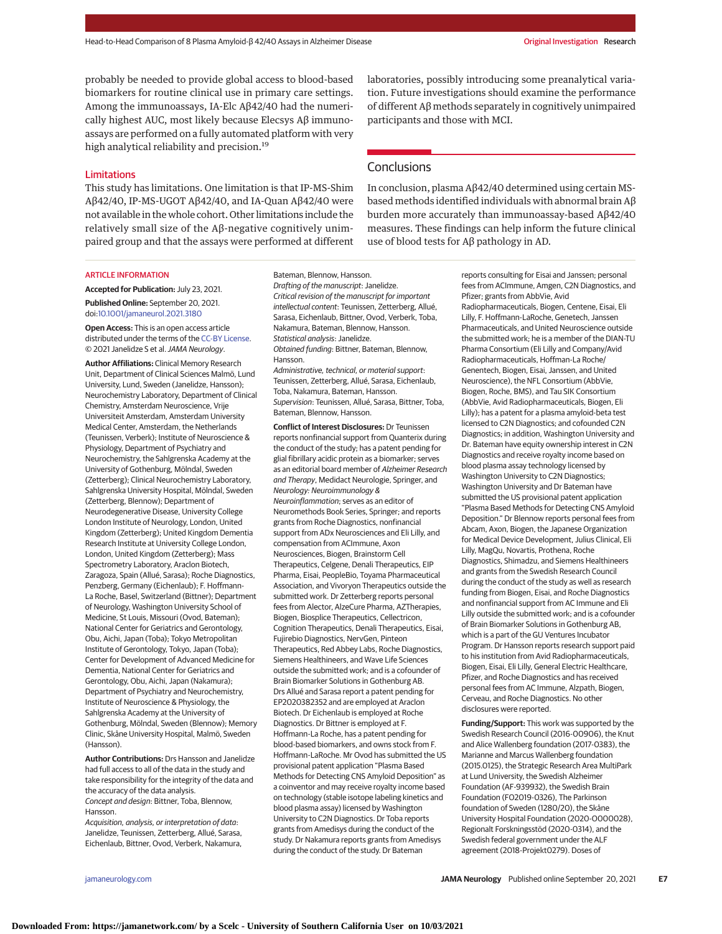probably be needed to provide global access to blood-based biomarkers for routine clinical use in primary care settings. Among the immunoassays, IA-Elc Aβ42/40 had the numerically highest AUC, most likely because Elecsys Aβ immunoassays are performed on a fully automated platform with very high analytical reliability and precision.<sup>19</sup>

#### Limitations

This study has limitations. One limitation is that IP-MS-Shim Aβ42/40, IP-MS-UGOT Aβ42/40, and IA-Quan Aβ42/40 were not available in the whole cohort. Other limitations include the relatively small size of the Aβ-negative cognitively unimpaired group and that the assays were performed at different laboratories, possibly introducing some preanalytical variation. Future investigations should examine the performance of different Aβ methods separately in cognitively unimpaired participants and those with MCI.

## **Conclusions**

In conclusion, plasma Aβ42/40 determined using certain MSbased methods identified individuals with abnormal brain Aβ burden more accurately than immunoassay-based Aβ42/40 measures. These findings can help inform the future clinical use of blood tests for Aβ pathology in AD.

#### ARTICLE INFORMATION

**Accepted for Publication:** July 23, 2021. **Published Online:** September 20, 2021. doi[:10.1001/jamaneurol.2021.3180](https://jamanetwork.com/journals/jama/fullarticle/10.1001/jamaneurol.2021.3180?utm_campaign=articlePDF%26utm_medium=articlePDFlink%26utm_source=articlePDF%26utm_content=jamaneurol.2021.3180)

**Open Access:** This is an open access article distributed under the terms of the [CC-BY License.](https://jamanetwork.com/pages/cc-by-license-permissions?utm_campaign=articlePDF%26utm_medium=articlePDFlink%26utm_source=articlePDF%26utm_content=jamaneurol.2021.3180) © 2021 Janelidze S et al.JAMA Neurology.

**Author Affiliations:** Clinical Memory Research Unit, Department of Clinical Sciences Malmö, Lund University, Lund, Sweden (Janelidze, Hansson); Neurochemistry Laboratory, Department of Clinical Chemistry, Amsterdam Neuroscience, Vrije Universiteit Amsterdam, Amsterdam University Medical Center, Amsterdam, the Netherlands (Teunissen, Verberk); Institute of Neuroscience & Physiology, Department of Psychiatry and Neurochemistry, the Sahlgrenska Academy at the University of Gothenburg, Mölndal, Sweden (Zetterberg); Clinical Neurochemistry Laboratory, Sahlgrenska University Hospital, Mölndal, Sweden (Zetterberg, Blennow); Department of Neurodegenerative Disease, University College London Institute of Neurology, London, United Kingdom (Zetterberg); United Kingdom Dementia Research Institute at University College London, London, United Kingdom (Zetterberg); Mass Spectrometry Laboratory, Araclon Biotech, Zaragoza, Spain (Allué, Sarasa); Roche Diagnostics, Penzberg, Germany (Eichenlaub); F. Hoffmann-La Roche, Basel, Switzerland (Bittner); Department of Neurology, Washington University School of Medicine, St Louis, Missouri (Ovod, Bateman); National Center for Geriatrics and Gerontology, Obu, Aichi, Japan (Toba); Tokyo Metropolitan Institute of Gerontology, Tokyo, Japan (Toba); Center for Development of Advanced Medicine for Dementia, National Center for Geriatrics and Gerontology, Obu, Aichi, Japan (Nakamura); Department of Psychiatry and Neurochemistry, Institute of Neuroscience & Physiology, the Sahlgrenska Academy at the University of Gothenburg, Mölndal, Sweden (Blennow); Memory Clinic, Skåne University Hospital, Malmö, Sweden (Hansson).

**Author Contributions:** Drs Hansson and Janelidze had full access to all of the data in the study and take responsibility for the integrity of the data and the accuracy of the data analysis. Concept and design: Bittner, Toba, Blennow, Hansson.

Acquisition, analysis, or interpretation of data: Janelidze, Teunissen, Zetterberg, Allué, Sarasa, Eichenlaub, Bittner, Ovod, Verberk, Nakamura, Bateman, Blennow, Hansson. Drafting of the manuscript: Janelidze. Critical revision of the manuscript for important intellectual content: Teunissen, Zetterberg, Allué, Sarasa, Eichenlaub, Bittner, Ovod, Verberk, Toba, Nakamura, Bateman, Blennow, Hansson. Statistical analysis: Janelidze. Obtained funding: Bittner, Bateman, Blennow, Hansson. Administrative, technical, or material support: Teunissen, Zetterberg, Allué, Sarasa, Eichenlaub, Toba, Nakamura, Bateman, Hansson. Supervision: Teunissen, Allué, Sarasa, Bittner, Toba,

Bateman, Blennow, Hansson.

**Conflict of Interest Disclosures:** Dr Teunissen reports nonfinancial support from Quanterix during the conduct of the study; has a patent pending for glial fibrillary acidic protein as a biomarker; serves as an editorial board member of Alzheimer Research and Therapy, Medidact Neurologie, Springer, and Neurology: Neuroimmunology & Neuroinflammation; serves as an editor of Neuromethods Book Series, Springer; and reports grants from Roche Diagnostics, nonfinancial support from ADx Neurosciences and Eli Lilly, and compensation from ACImmune, Axon Neurosciences, Biogen, Brainstorm Cell Therapeutics, Celgene, Denali Therapeutics, EIP Pharma, Eisai, PeopleBio, Toyama Pharmaceutical Association, and Vivoryon Therapeutics outside the submitted work. Dr Zetterberg reports personal fees from Alector, AlzeCure Pharma, AZTherapies, Biogen, Biosplice Therapeutics, Cellectricon, Cognition Therapeutics, Denali Therapeutics, Eisai, Fujirebio Diagnostics, NervGen, Pinteon Therapeutics, Red Abbey Labs, Roche Diagnostics, Siemens Healthineers, and Wave Life Sciences outside the submitted work; and is a cofounder of Brain Biomarker Solutions in Gothenburg AB. Drs Allué and Sarasa report a patent pending for EP2020382352 and are employed at Araclon Biotech. Dr Eichenlaub is employed at Roche Diagnostics. Dr Bittner is employed at F. Hoffmann-La Roche, has a patent pending for blood-based biomarkers, and owns stock from F. Hoffmann-LaRoche. Mr Ovod has submitted the US provisional patent application "Plasma Based Methods for Detecting CNS Amyloid Deposition" as a coinventor and may receive royalty income based on technology (stable isotope labeling kinetics and blood plasma assay) licensed by Washington University to C2N Diagnostics. Dr Toba reports grants from Amedisys during the conduct of the study. Dr Nakamura reports grants from Amedisys during the conduct of the study. Dr Bateman

reports consulting for Eisai and Janssen; personal fees from ACImmune, Amgen, C2N Diagnostics, and Pfizer; grants from AbbVie, Avid Radiopharmaceuticals, Biogen, Centene, Eisai, Eli Lilly, F. Hoffmann-LaRoche, Genetech, Janssen Pharmaceuticals, and United Neuroscience outside the submitted work; he is a member of the DIAN-TU

Pharma Consortium (Eli Lilly and Company/Avid Radiopharmaceuticals, Hoffman-La Roche/ Genentech, Biogen, Eisai, Janssen, and United Neuroscience), the NFL Consortium (AbbVie, Biogen, Roche, BMS), and Tau SIK Consortium (AbbVie, Avid Radiopharmaceuticals, Biogen, Eli Lilly); has a patent for a plasma amyloid-beta test licensed to C2N Diagnostics; and cofounded C2N Diagnostics; in addition, Washington University and Dr. Bateman have equity ownership interest in C2N Diagnostics and receive royalty income based on blood plasma assay technology licensed by Washington University to C2N Diagnostics; Washington University and Dr Bateman have submitted the US provisional patent application "Plasma Based Methods for Detecting CNS Amyloid Deposition." Dr Blennow reports personal fees from Abcam, Axon, Biogen, the Japanese Organization for Medical Device Development, Julius Clinical, Eli Lilly, MagQu, Novartis, Prothena, Roche Diagnostics, Shimadzu, and Siemens Healthineers and grants from the Swedish Research Council during the conduct of the study as well as research funding from Biogen, Eisai, and Roche Diagnostics and nonfinancial support from AC Immune and Eli Lilly outside the submitted work; and is a cofounder of Brain Biomarker Solutions in Gothenburg AB, which is a part of the GU Ventures Incubator Program. Dr Hansson reports research support paid to his institution from Avid Radiopharmaceuticals, Biogen, Eisai, Eli Lilly, General Electric Healthcare, Pfizer, and Roche Diagnostics and has received personal fees from AC Immune, Alzpath, Biogen, Cerveau, and Roche Diagnostics. No other disclosures were reported.

**Funding/Support:** This work was supported by the Swedish Research Council (2016-00906), the Knut and Alice Wallenberg foundation (2017-0383), the Marianne and Marcus Wallenberg foundation (2015.0125), the Strategic Research Area MultiPark at Lund University, the Swedish Alzheimer Foundation (AF-939932), the Swedish Brain Foundation (FO2019-0326), The Parkinson foundation of Sweden (1280/20), the Skåne University Hospital Foundation (2020-O000028), Regionalt Forskningsstöd (2020-0314), and the Swedish federal government under the ALF agreement (2018-Projekt0279). Doses of